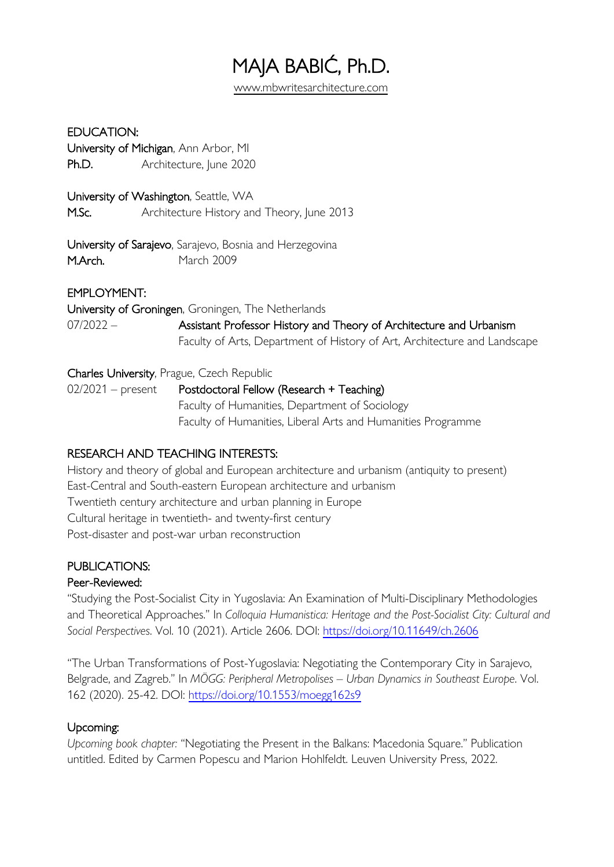# MAJA BABIĆ, Ph.D. www.mbwritesarchitecture.com

#### EDUCATION:

University of Michigan, Ann Arbor, MI Ph.D. Architecture, June 2020

University of Washington, Seattle, WA M.Sc. **Architecture History and Theory, June 2013** 

University of Sarajevo, Sarajevo, Bosnia and Herzegovina M.Arch. March 2009

#### EMPLOYMENT:

University of Groningen, Groningen, The Netherlands 07/2022 – Assistant Professor History and Theory of Architecture and Urbanism Faculty of Arts, Department of History of Art, Architecture and Landscape

#### Charles University, Prague, Czech Republic

02/2021 – present Postdoctoral Fellow (Research + Teaching) Faculty of Humanities, Department of Sociology Faculty of Humanities, Liberal Arts and Humanities Programme

# RESEARCH AND TEACHING INTERESTS:

History and theory of global and European architecture and urbanism (antiquity to present) East-Central and South-eastern European architecture and urbanism Twentieth century architecture and urban planning in Europe Cultural heritage in twentieth- and twenty-first century Post-disaster and post-war urban reconstruction

# PUBLICATIONS:

# Peer-Reviewed:

"Studying the Post-Socialist City in Yugoslavia: An Examination of Multi-Disciplinary Methodologies and Theoretical Approaches." In *Colloquia Humanistica: Heritage and the Post-Socialist City: Cultural and Social Perspectives*. Vol. 10 (2021). Article 2606. DOI: https://doi.org/10.11649/ch.2606

"The Urban Transformations of Post-Yugoslavia: Negotiating the Contemporary City in Sarajevo, Belgrade, and Zagreb." In *MÖGG: Peripheral Metropolises – Urban Dynamics in Southeast Europe*. Vol. 162 (2020). 25-42. DOI: https://doi.org/10.1553/moegg162s9

# Upcoming:

*Upcoming book chapter:* "Negotiating the Present in the Balkans: Macedonia Square." Publication untitled. Edited by Carmen Popescu and Marion Hohlfeldt. Leuven University Press, 2022.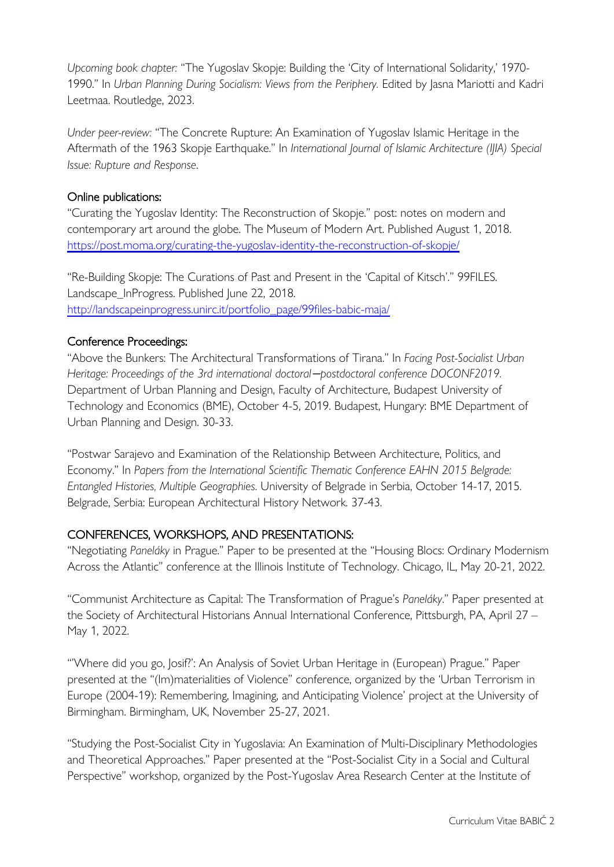*Upcoming book chapter:* "The Yugoslav Skopje: Building the 'City of International Solidarity,' 1970- 1990." In *Urban Planning During Socialism: Views from the Periphery.* Edited by Jasna Mariotti and Kadri Leetmaa. Routledge, 2023.

*Under peer-review:* "The Concrete Rupture: An Examination of Yugoslav Islamic Heritage in the Aftermath of the 1963 Skopje Earthquake." In *International Journal of Islamic Architecture (IJIA) Special Issue: Rupture and Response*.

#### Online publications:

"Curating the Yugoslav Identity: The Reconstruction of Skopje." post: notes on modern and contemporary art around the globe. The Museum of Modern Art. Published August 1, 2018. https://post.moma.org/curating-the-yugoslav-identity-the-reconstruction-of-skopje/

"Re-Building Skopje: The Curations of Past and Present in the 'Capital of Kitsch'." 99FILES. Landscape\_InProgress. Published June 22, 2018. http://landscapeinprogress.unirc.it/portfolio\_page/99files-babic-maja/

# Conference Proceedings:

"Above the Bunkers: The Architectural Transformations of Tirana." In *Facing Post-Socialist Urban Heritage: Proceedings of the 3rd international doctoral*−*postdoctoral conference DOCONF2019.* Department of Urban Planning and Design, Faculty of Architecture, Budapest University of Technology and Economics (BME), October 4-5, 2019. Budapest, Hungary: BME Department of Urban Planning and Design. 30-33.

"Postwar Sarajevo and Examination of the Relationship Between Architecture, Politics, and Economy." In *Papers from the International Scientific Thematic Conference EAHN 2015 Belgrade: Entangled Histories, Multiple Geographies*. University of Belgrade in Serbia, October 14-17, 2015. Belgrade, Serbia: European Architectural History Network. 37-43.

# CONFERENCES, WORKSHOPS, AND PRESENTATIONS:

"Negotiating *Paneláky* in Prague." Paper to be presented at the "Housing Blocs: Ordinary Modernism Across the Atlantic" conference at the Illinois Institute of Technology. Chicago, IL, May 20-21, 2022.

"Communist Architecture as Capital: The Transformation of Prague's *Paneláky*." Paper presented at the Society of Architectural Historians Annual International Conference, Pittsburgh, PA, April 27 – May 1, 2022.

"'Where did you go, Josif?': An Analysis of Soviet Urban Heritage in (European) Prague." Paper presented at the "(Im)materialities of Violence" conference, organized by the 'Urban Terrorism in Europe (2004-19): Remembering, Imagining, and Anticipating Violence' project at the University of Birmingham. Birmingham, UK, November 25-27, 2021.

"Studying the Post-Socialist City in Yugoslavia: An Examination of Multi-Disciplinary Methodologies and Theoretical Approaches." Paper presented at the "Post-Socialist City in a Social and Cultural Perspective" workshop, organized by the Post-Yugoslav Area Research Center at the Institute of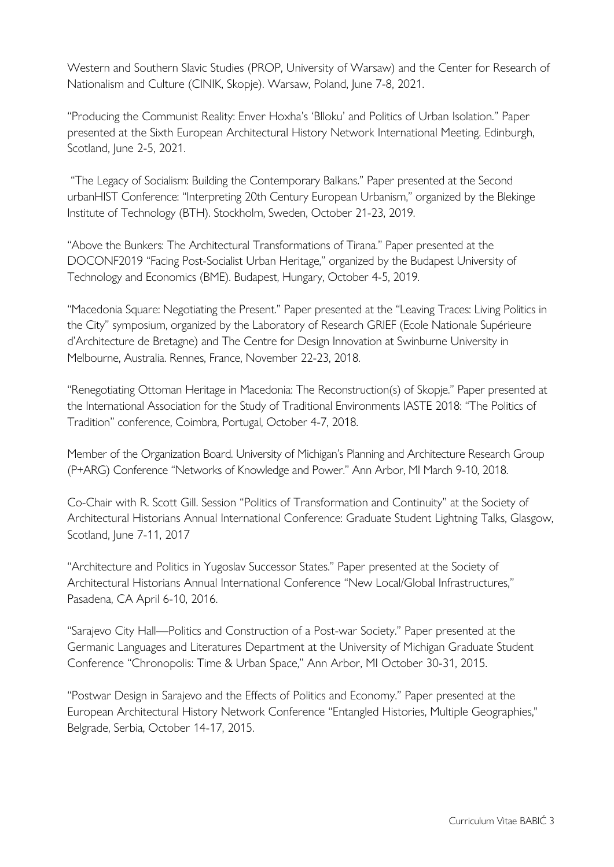Western and Southern Slavic Studies (PROP, University of Warsaw) and the Center for Research of Nationalism and Culture (CINIK, Skopje). Warsaw, Poland, June 7-8, 2021.

"Producing the Communist Reality: Enver Hoxha's 'Blloku' and Politics of Urban Isolation." Paper presented at the Sixth European Architectural History Network International Meeting. Edinburgh, Scotland, June 2-5, 2021.

"The Legacy of Socialism: Building the Contemporary Balkans." Paper presented at the Second urbanHIST Conference: "Interpreting 20th Century European Urbanism," organized by the Blekinge Institute of Technology (BTH). Stockholm, Sweden, October 21-23, 2019.

"Above the Bunkers: The Architectural Transformations of Tirana." Paper presented at the DOCONF2019 "Facing Post-Socialist Urban Heritage," organized by the Budapest University of Technology and Economics (BME). Budapest, Hungary, October 4-5, 2019.

"Macedonia Square: Negotiating the Present." Paper presented at the "Leaving Traces: Living Politics in the City" symposium, organized by the Laboratory of Research GRIEF (Ecole Nationale Supérieure d'Architecture de Bretagne) and The Centre for Design Innovation at Swinburne University in Melbourne, Australia. Rennes, France, November 22-23, 2018.

"Renegotiating Ottoman Heritage in Macedonia: The Reconstruction(s) of Skopje." Paper presented at the International Association for the Study of Traditional Environments IASTE 2018: "The Politics of Tradition" conference, Coimbra, Portugal, October 4-7, 2018.

Member of the Organization Board. University of Michigan's Planning and Architecture Research Group (P+ARG) Conference "Networks of Knowledge and Power." Ann Arbor, MI March 9-10, 2018.

Co-Chair with R. Scott Gill. Session "Politics of Transformation and Continuity" at the Society of Architectural Historians Annual International Conference: Graduate Student Lightning Talks, Glasgow, Scotland, June 7-11, 2017

"Architecture and Politics in Yugoslav Successor States." Paper presented at the Society of Architectural Historians Annual International Conference "New Local/Global Infrastructures," Pasadena, CA April 6-10, 2016.

"Sarajevo City Hall—Politics and Construction of a Post-war Society." Paper presented at the Germanic Languages and Literatures Department at the University of Michigan Graduate Student Conference "Chronopolis: Time & Urban Space," Ann Arbor, MI October 30-31, 2015.

"Postwar Design in Sarajevo and the Effects of Politics and Economy." Paper presented at the European Architectural History Network Conference "Entangled Histories, Multiple Geographies," Belgrade, Serbia, October 14-17, 2015.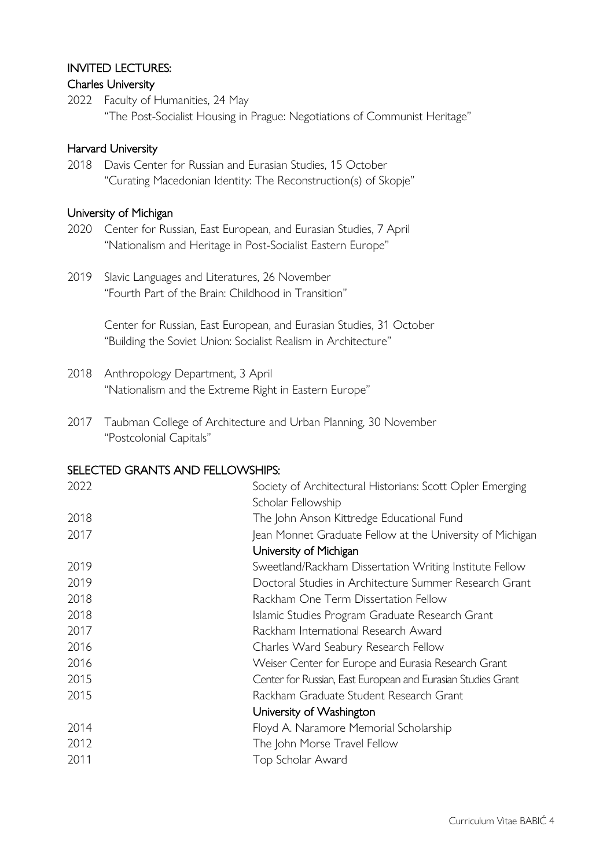### INVITED LECTURES:

#### Charles University

2022 Faculty of Humanities, 24 May "The Post-Socialist Housing in Prague: Negotiations of Communist Heritage"

#### Harvard University

2018 Davis Center for Russian and Eurasian Studies, 15 October "Curating Macedonian Identity: The Reconstruction(s) of Skopje"

#### University of Michigan

- 2020 Center for Russian, East European, and Eurasian Studies, 7 April "Nationalism and Heritage in Post-Socialist Eastern Europe"
- 2019 Slavic Languages and Literatures, 26 November "Fourth Part of the Brain: Childhood in Transition"

Center for Russian, East European, and Eurasian Studies, 31 October "Building the Soviet Union: Socialist Realism in Architecture"

- 2018 Anthropology Department, 3 April "Nationalism and the Extreme Right in Eastern Europe"
- 2017 Taubman College of Architecture and Urban Planning, 30 November "Postcolonial Capitals"

#### SELECTED GRANTS AND FELLOWSHIPS:

| 2022 | Society of Architectural Historians: Scott Opler Emerging<br>Scholar Fellowship |
|------|---------------------------------------------------------------------------------|
| 2018 | The John Anson Kittredge Educational Fund                                       |
| 2017 | Jean Monnet Graduate Fellow at the University of Michigan                       |
|      | University of Michigan                                                          |
| 2019 | Sweetland/Rackham Dissertation Writing Institute Fellow                         |
| 2019 | Doctoral Studies in Architecture Summer Research Grant                          |
| 2018 | Rackham One Term Dissertation Fellow                                            |
| 2018 | Islamic Studies Program Graduate Research Grant                                 |
| 2017 | Rackham International Research Award                                            |
| 2016 | Charles Ward Seabury Research Fellow                                            |
| 2016 | Weiser Center for Europe and Eurasia Research Grant                             |
| 2015 | Center for Russian, East European and Eurasian Studies Grant                    |
| 2015 | Rackham Graduate Student Research Grant                                         |
|      | University of Washington                                                        |
| 2014 | Floyd A. Naramore Memorial Scholarship                                          |
| 2012 | The John Morse Travel Fellow                                                    |
| 2011 | Top Scholar Award                                                               |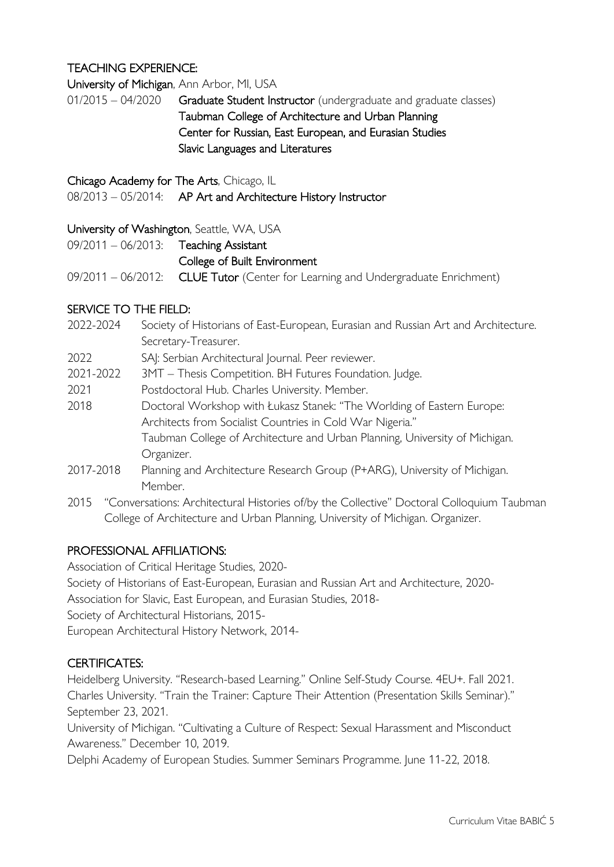# TEACHING EXPERIENCE:

University of Michigan, Ann Arbor, MI, USA

01/2015 – 04/2020 Graduate Student Instructor (undergraduate and graduate classes) Taubman College of Architecture and Urban Planning Center for Russian, East European, and Eurasian Studies Slavic Languages and Literatures

Chicago Academy for The Arts, Chicago, IL

08/2013 - 05/2014: AP Art and Architecture History Instructor

#### University of Washington, Seattle, WA, USA

| $09/2011 - 06/2013$ : Teaching Assistant |                                                                                  |
|------------------------------------------|----------------------------------------------------------------------------------|
|                                          | College of Built Environment                                                     |
|                                          | 09/2011 - 06/2012: CLUE Tutor (Center for Learning and Undergraduate Enrichment) |

#### SERVICE TO THE FIELD:

- 2022-2024 Society of Historians of East-European, Eurasian and Russian Art and Architecture. Secretary-Treasurer.
- 2022 SAJ: Serbian Architectural Journal. Peer reviewer.
- 2021-2022 3MT Thesis Competition. BH Futures Foundation. Judge.
- 2021 Postdoctoral Hub. Charles University. Member.
- 2018 Doctoral Workshop with Łukasz Stanek: "The Worlding of Eastern Europe: Architects from Socialist Countries in Cold War Nigeria." Taubman College of Architecture and Urban Planning, University of Michigan. Organizer.
- 2017-2018 Planning and Architecture Research Group (P+ARG), University of Michigan. Member.
- 2015 "Conversations: Architectural Histories of/by the Collective" Doctoral Colloquium Taubman College of Architecture and Urban Planning, University of Michigan. Organizer.

# PROFESSIONAL AFFILIATIONS:

Association of Critical Heritage Studies, 2020- Society of Historians of East-European, Eurasian and Russian Art and Architecture, 2020- Association for Slavic, East European, and Eurasian Studies, 2018- Society of Architectural Historians, 2015- European Architectural History Network, 2014-

#### CERTIFICATES:

Heidelberg University. "Research-based Learning." Online Self-Study Course. 4EU+. Fall 2021. Charles University. "Train the Trainer: Capture Their Attention (Presentation Skills Seminar)." September 23, 2021.

University of Michigan. "Cultivating a Culture of Respect: Sexual Harassment and Misconduct Awareness." December 10, 2019.

Delphi Academy of European Studies. Summer Seminars Programme. June 11-22, 2018.